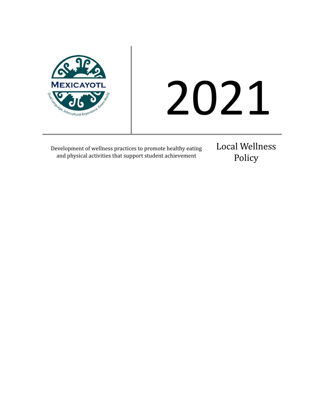

# 2021

Development of wellness practices to promote healthy eating and physical activities that support student achievement

Local Wellness Policy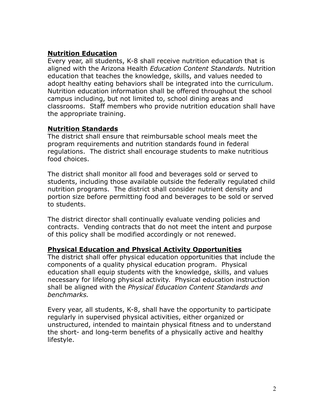### **Nutrition Education**

Every year, all students, K-8 shall receive nutrition education that is aligned with the Arizona Health *Education Content Standards.* Nutrition education that teaches the knowledge, skills, and values needed to adopt healthy eating behaviors shall be integrated into the curriculum. Nutrition education information shall be offered throughout the school campus including, but not limited to, school dining areas and classrooms. Staff members who provide nutrition education shall have the appropriate training.

## **Nutrition Standards**

The district shall ensure that reimbursable school meals meet the program requirements and nutrition standards found in federal regulations. The district shall encourage students to make nutritious food choices.

The district shall monitor all food and beverages sold or served to students, including those available outside the federally regulated child nutrition programs. The district shall consider nutrient density and portion size before permitting food and beverages to be sold or served to students.

The district director shall continually evaluate vending policies and contracts. Vending contracts that do not meet the intent and purpose of this policy shall be modified accordingly or not renewed.

### **Physical Education and Physical Activity Opportunities**

The district shall offer physical education opportunities that include the components of a quality physical education program. Physical education shall equip students with the knowledge, skills, and values necessary for lifelong physical activity. Physical education instruction shall be aligned with the *Physical Education Content Standards and benchmarks.*

Every year, all students, K-8, shall have the opportunity to participate regularly in supervised physical activities, either organized or unstructured, intended to maintain physical fitness and to understand the short- and long-term benefits of a physically active and healthy lifestyle.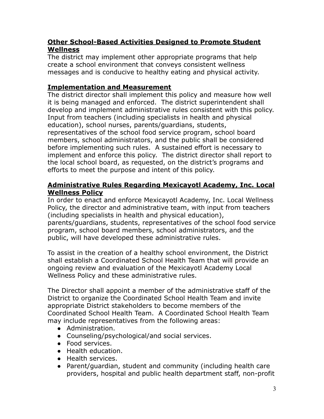# **Other School-Based Activities Designed to Promote Student Wellness**

The district may implement other appropriate programs that help create a school environment that conveys consistent wellness messages and is conducive to healthy eating and physical activity.

# **Implementation and Measurement**

The district director shall implement this policy and measure how well it is being managed and enforced. The district superintendent shall develop and implement administrative rules consistent with this policy. Input from teachers (including specialists in health and physical education), school nurses, parents/guardians, students, representatives of the school food service program, school board members, school administrators, and the public shall be considered before implementing such rules. A sustained effort is necessary to implement and enforce this policy. The district director shall report to the local school board, as requested, on the district's programs and efforts to meet the purpose and intent of this policy.

### **Administrative Rules Regarding Mexicayotl Academy, Inc. Local Wellness Policy**

In order to enact and enforce Mexicayotl Academy, Inc. Local Wellness Policy, the director and administrative team, with input from teachers (including specialists in health and physical education), parents/guardians, students, representatives of the school food service program, school board members, school administrators, and the public, will have developed these administrative rules.

To assist in the creation of a healthy school environment, the District shall establish a Coordinated School Health Team that will provide an ongoing review and evaluation of the Mexicayotl Academy Local Wellness Policy and these administrative rules.

The Director shall appoint a member of the administrative staff of the District to organize the Coordinated School Health Team and invite appropriate District stakeholders to become members of the Coordinated School Health Team. A Coordinated School Health Team may include representatives from the following areas:

- Administration.
- Counseling/psychological/and social services.
- Food services.
- Health education.
- Health services.
- Parent/guardian, student and community (including health care providers, hospital and public health department staff, non-profit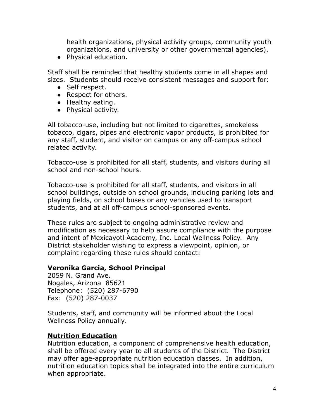health organizations, physical activity groups, community youth organizations, and university or other governmental agencies).

● Physical education.

Staff shall be reminded that healthy students come in all shapes and sizes. Students should receive consistent messages and support for:

- Self respect.
- Respect for others.
- Healthy eating.
- Physical activity.

All tobacco-use, including but not limited to cigarettes, smokeless tobacco, cigars, pipes and electronic vapor products, is prohibited for any staff, student, and visitor on campus or any off-campus school related activity.

Tobacco-use is prohibited for all staff, students, and visitors during all school and non-school hours.

Tobacco-use is prohibited for all staff, students, and visitors in all school buildings, outside on school grounds, including parking lots and playing fields, on school buses or any vehicles used to transport students, and at all off-campus school-sponsored events.

These rules are subject to ongoing administrative review and modification as necessary to help assure compliance with the purpose and intent of Mexicayotl Academy, Inc. Local Wellness Policy. Any District stakeholder wishing to express a viewpoint, opinion, or complaint regarding these rules should contact:

## **Veronika Garcia, School Principal**

2059 N. Grand Ave. Nogales, Arizona 85621 Telephone: (520) 287-6790 Fax: (520) 287-0037

Students, staff, and community will be informed about the Local Wellness Policy annually.

## **Nutrition Education**

Nutrition education, a component of comprehensive health education, shall be offered every year to all students of the District. The District may offer age-appropriate nutrition education classes. In addition, nutrition education topics shall be integrated into the entire curriculum when appropriate.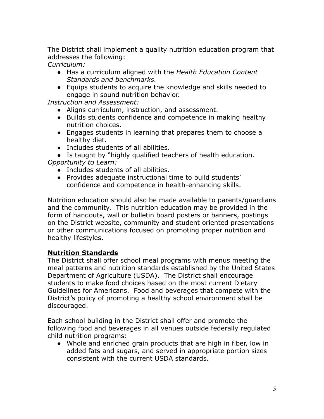The District shall implement a quality nutrition education program that addresses the following:

*Curriculum:*

- Has a curriculum aligned with the *Health Education Content Standards and benchmarks.*
- Equips students to acquire the knowledge and skills needed to engage in sound nutrition behavior.

*Instruction and Assessment:*

- Aligns curriculum, instruction, and assessment.
- Builds students confidence and competence in making healthy nutrition choices.
- Engages students in learning that prepares them to choose a healthy diet.
- Includes students of all abilities.
- Is taught by "highly qualified teachers of health education.

*Opportunity to Learn:*

- Includes students of all abilities.
- Provides adequate instructional time to build students' confidence and competence in health-enhancing skills.

Nutrition education should also be made available to parents/guardians and the community. This nutrition education may be provided in the form of handouts, wall or bulletin board posters or banners, postings on the District website, community and student oriented presentations or other communications focused on promoting proper nutrition and healthy lifestyles.

## **Nutrition Standards**

The District shall offer school meal programs with menus meeting the meal patterns and nutrition standards established by the United States Department of Agriculture (USDA). The District shall encourage students to make food choices based on the most current Dietary Guidelines for Americans. Food and beverages that compete with the District's policy of promoting a healthy school environment shall be discouraged.

Each school building in the District shall offer and promote the following food and beverages in all venues outside federally regulated child nutrition programs:

● Whole and enriched grain products that are high in fiber, low in added fats and sugars, and served in appropriate portion sizes consistent with the current USDA standards.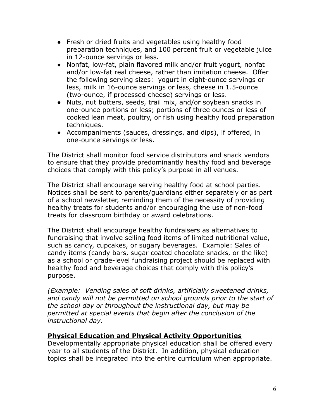- Fresh or dried fruits and vegetables using healthy food preparation techniques, and 100 percent fruit or vegetable juice in 12-ounce servings or less.
- Nonfat, low-fat, plain flavored milk and/or fruit yogurt, nonfat and/or low-fat real cheese, rather than imitation cheese. Offer the following serving sizes: yogurt in eight-ounce servings or less, milk in 16-ounce servings or less, cheese in 1.5-ounce (two-ounce, if processed cheese) servings or less.
- Nuts, nut butters, seeds, trail mix, and/or soybean snacks in one-ounce portions or less; portions of three ounces or less of cooked lean meat, poultry, or fish using healthy food preparation techniques.
- Accompaniments (sauces, dressings, and dips), if offered, in one-ounce servings or less.

The District shall monitor food service distributors and snack vendors to ensure that they provide predominantly healthy food and beverage choices that comply with this policy's purpose in all venues.

The District shall encourage serving healthy food at school parties. Notices shall be sent to parents/guardians either separately or as part of a school newsletter, reminding them of the necessity of providing healthy treats for students and/or encouraging the use of non-food treats for classroom birthday or award celebrations.

The District shall encourage healthy fundraisers as alternatives to fundraising that involve selling food items of limited nutritional value, such as candy, cupcakes, or sugary beverages. Example: Sales of candy items (candy bars, sugar coated chocolate snacks, or the like) as a school or grade-level fundraising project should be replaced with healthy food and beverage choices that comply with this policy's purpose.

*(Example: Vending sales of soft drinks, artificially sweetened drinks, and candy will not be permitted on school grounds prior to the start of the school day or throughout the instructional day, but may be permitted at special events that begin after the conclusion of the instructional day.*

## **Physical Education and Physical Activity Opportunities**

Developmentally appropriate physical education shall be offered every year to all students of the District. In addition, physical education topics shall be integrated into the entire curriculum when appropriate.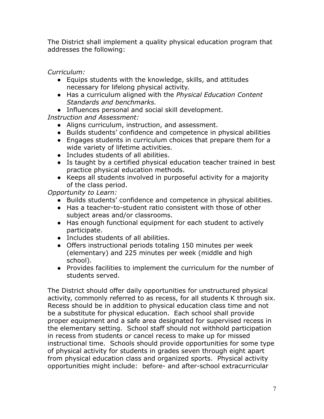The District shall implement a quality physical education program that addresses the following:

*Curriculum:*

- Equips students with the knowledge, skills, and attitudes necessary for lifelong physical activity.
- Has a curriculum aligned with the *Physical Education Content Standards and benchmarks.*
- Influences personal and social skill development.

*Instruction and Assessment:*

- Aligns curriculum, instruction, and assessment.
- Builds students' confidence and competence in physical abilities
- Engages students in curriculum choices that prepare them for a wide variety of lifetime activities.
- Includes students of all abilities.
- Is taught by a certified physical education teacher trained in best practice physical education methods.
- Keeps all students involved in purposeful activity for a majority of the class period.

*Opportunity to Learn:*

- Builds students' confidence and competence in physical abilities.
- Has a teacher-to-student ratio consistent with those of other subject areas and/or classrooms.
- Has enough functional equipment for each student to actively participate.
- Includes students of all abilities.
- Offers instructional periods totaling 150 minutes per week (elementary) and 225 minutes per week (middle and high school).
- Provides facilities to implement the curriculum for the number of students served.

The District should offer daily opportunities for unstructured physical activity, commonly referred to as recess, for all students K through six. Recess should be in addition to physical education class time and not be a substitute for physical education. Each school shall provide proper equipment and a safe area designated for supervised recess in the elementary setting. School staff should not withhold participation in recess from students or cancel recess to make up for missed instructional time. Schools should provide opportunities for some type of physical activity for students in grades seven through eight apart from physical education class and organized sports. Physical activity opportunities might include: before- and after-school extracurricular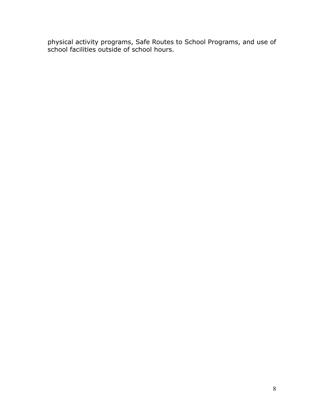physical activity programs, Safe Routes to School Programs, and use of school facilities outside of school hours.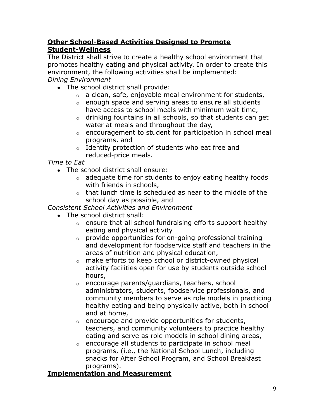# **Other School-Based Activities Designed to Promote Student-Wellness**

The District shall strive to create a healthy school environment that promotes healthy eating and physical activity. In order to create this environment, the following activities shall be implemented: *Dining Environment*

- The school district shall provide:
	- o a clean, safe, enjoyable meal environment for students,
	- o enough space and serving areas to ensure all students have access to school meals with minimum wait time,
	- o drinking fountains in all schools, so that students can get water at meals and throughout the day,
	- o encouragement to student for participation in school meal programs, and
	- o Identity protection of students who eat free and reduced-price meals.

*Time to Eat*

- The school district shall ensure:
	- o adequate time for students to enjoy eating healthy foods with friends in schools,
	- $\circ$  that lunch time is scheduled as near to the middle of the school day as possible, and

# *Consistent School Activities and Environment*

- The school district shall:
	- o ensure that all school fundraising efforts support healthy eating and physical activity
	- o provide opportunities for on-going professional training and development for foodservice staff and teachers in the areas of nutrition and physical education,
	- o make efforts to keep school or district-owned physical activity facilities open for use by students outside school hours,
	- o encourage parents/guardians, teachers, school administrators, students, foodservice professionals, and community members to serve as role models in practicing healthy eating and being physically active, both in school and at home,
	- o encourage and provide opportunities for students, teachers, and community volunteers to practice healthy eating and serve as role models in school dining areas,
	- o encourage all students to participate in school meal programs, (i.e., the National School Lunch, including snacks for After School Program, and School Breakfast programs).

## **Implementation and Measurement**